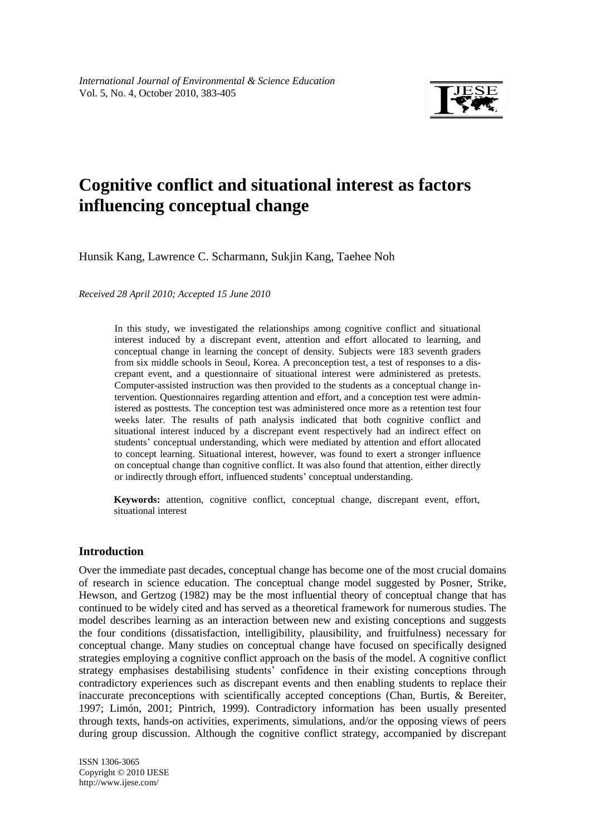

# **Cognitive conflict and situational interest as factors influencing conceptual change**

Hunsik Kang, Lawrence C. Scharmann, Sukjin Kang, Taehee Noh

*Received 28 April 2010; Accepted 15 June 2010*

In this study, we investigated the relationships among cognitive conflict and situational interest induced by a discrepant event, attention and effort allocated to learning, and conceptual change in learning the concept of density. Subjects were 183 seventh graders from six middle schools in Seoul, Korea. A preconception test, a test of responses to a discrepant event, and a questionnaire of situational interest were administered as pretests. Computer-assisted instruction was then provided to the students as a conceptual change intervention. Questionnaires regarding attention and effort, and a conception test were administered as posttests. The conception test was administered once more as a retention test four weeks later. The results of path analysis indicated that both cognitive conflict and situational interest induced by a discrepant event respectively had an indirect effect on students' conceptual understanding, which were mediated by attention and effort allocated to concept learning. Situational interest, however, was found to exert a stronger influence on conceptual change than cognitive conflict. It was also found that attention, either directly or indirectly through effort, influenced students' conceptual understanding.

**Keywords:** attention, cognitive conflict, conceptual change, discrepant event, effort, situational interest

## **Introduction**

Over the immediate past decades, conceptual change has become one of the most crucial domains of research in science education. The conceptual change model suggested by Posner, Strike, Hewson, and Gertzog (1982) may be the most influential theory of conceptual change that has continued to be widely cited and has served as a theoretical framework for numerous studies. The model describes learning as an interaction between new and existing conceptions and suggests the four conditions (dissatisfaction, intelligibility, plausibility, and fruitfulness) necessary for conceptual change. Many studies on conceptual change have focused on specifically designed strategies employing a cognitive conflict approach on the basis of the model. A cognitive conflict strategy emphasises destabilising students' confidence in their existing conceptions through contradictory experiences such as discrepant events and then enabling students to replace their inaccurate preconceptions with scientifically accepted conceptions (Chan, Burtis, & Bereiter, 1997; Limón, 2001; Pintrich, 1999). Contradictory information has been usually presented through texts, hands-on activities, experiments, simulations, and/or the opposing views of peers during group discussion. Although the cognitive conflict strategy, accompanied by discrepant

fgjkl ISSN 1306-3065 Copyright © 2010 IJESE <http://www.ijese.com/>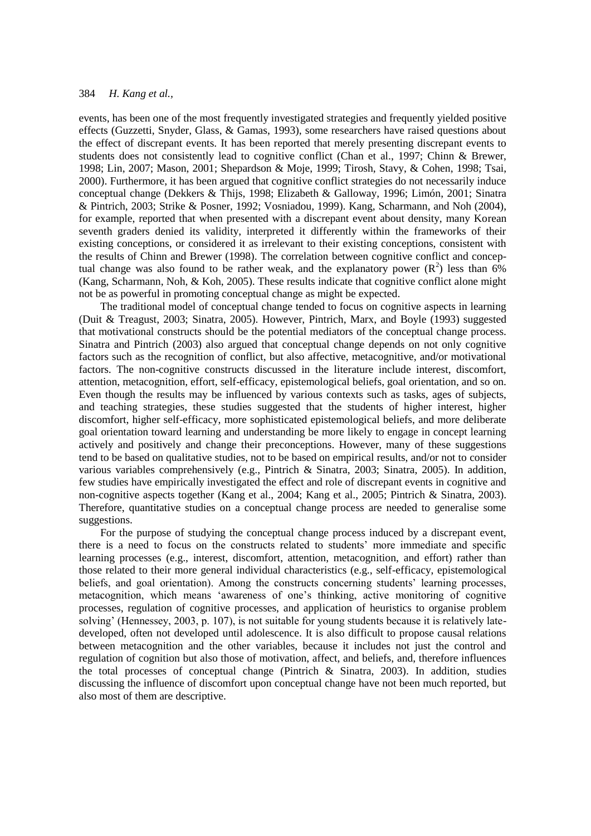events, has been one of the most frequently investigated strategies and frequently yielded positive effects (Guzzetti, Snyder, Glass, & Gamas, 1993), some researchers have raised questions about the effect of discrepant events. It has been reported that merely presenting discrepant events to students does not consistently lead to cognitive conflict (Chan et al., 1997; Chinn & Brewer, 1998; Lin, 2007; Mason, 2001; Shepardson & Moje, 1999; Tirosh, Stavy, & Cohen, 1998; Tsai, 2000). Furthermore, it has been argued that cognitive conflict strategies do not necessarily induce conceptual change (Dekkers & Thijs, 1998; Elizabeth & Galloway, 1996; Limón, 2001; Sinatra & Pintrich, 2003; Strike & Posner, 1992; Vosniadou, 1999). Kang, Scharmann, and Noh (2004), for example, reported that when presented with a discrepant event about density, many Korean seventh graders denied its validity, interpreted it differently within the frameworks of their existing conceptions, or considered it as irrelevant to their existing conceptions, consistent with the results of Chinn and Brewer (1998). The correlation between cognitive conflict and conceptual change was also found to be rather weak, and the explanatory power  $(R^2)$  less than 6% (Kang, Scharmann, Noh, & Koh, 2005). These results indicate that cognitive conflict alone might not be as powerful in promoting conceptual change as might be expected.

The traditional model of conceptual change tended to focus on cognitive aspects in learning (Duit & Treagust, 2003; Sinatra, 2005). However, Pintrich, Marx, and Boyle (1993) suggested that motivational constructs should be the potential mediators of the conceptual change process. Sinatra and Pintrich (2003) also argued that conceptual change depends on not only cognitive factors such as the recognition of conflict, but also affective, metacognitive, and/or motivational factors. The non-cognitive constructs discussed in the literature include interest, discomfort, attention, metacognition, effort, self-efficacy, epistemological beliefs, goal orientation, and so on. Even though the results may be influenced by various contexts such as tasks, ages of subjects, and teaching strategies, these studies suggested that the students of higher interest, higher discomfort, higher self-efficacy, more sophisticated epistemological beliefs, and more deliberate goal orientation toward learning and understanding be more likely to engage in concept learning actively and positively and change their preconceptions. However, many of these suggestions tend to be based on qualitative studies, not to be based on empirical results, and/or not to consider various variables comprehensively (e.g., Pintrich & Sinatra, 2003; Sinatra, 2005). In addition, few studies have empirically investigated the effect and role of discrepant events in cognitive and non-cognitive aspects together (Kang et al., 2004; Kang et al., 2005; Pintrich & Sinatra, 2003). Therefore, quantitative studies on a conceptual change process are needed to generalise some suggestions.

For the purpose of studying the conceptual change process induced by a discrepant event, there is a need to focus on the constructs related to students' more immediate and specific learning processes (e.g., interest, discomfort, attention, metacognition, and effort) rather than those related to their more general individual characteristics (e.g., self-efficacy, epistemological beliefs, and goal orientation). Among the constructs concerning students' learning processes, metacognition, which means 'awareness of one's thinking, active monitoring of cognitive processes, regulation of cognitive processes, and application of heuristics to organise problem solving' (Hennessey, 2003, p. 107), is not suitable for young students because it is relatively latedeveloped, often not developed until adolescence. It is also difficult to propose causal relations between metacognition and the other variables, because it includes not just the control and regulation of cognition but also those of motivation, affect, and beliefs, and, therefore influences the total processes of conceptual change (Pintrich & Sinatra, 2003). In addition, studies discussing the influence of discomfort upon conceptual change have not been much reported, but also most of them are descriptive.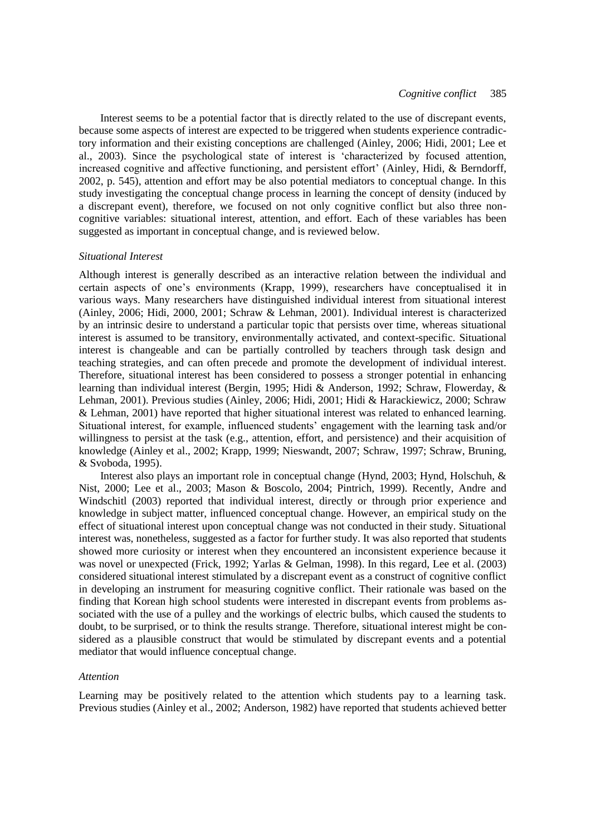Interest seems to be a potential factor that is directly related to the use of discrepant events, because some aspects of interest are expected to be triggered when students experience contradictory information and their existing conceptions are challenged (Ainley, 2006; Hidi, 2001; Lee et al., 2003). Since the psychological state of interest is 'characterized by focused attention, increased cognitive and affective functioning, and persistent effort' (Ainley, Hidi, & Berndorff, 2002, p. 545), attention and effort may be also potential mediators to conceptual change. In this study investigating the conceptual change process in learning the concept of density (induced by a discrepant event), therefore, we focused on not only cognitive conflict but also three noncognitive variables: situational interest, attention, and effort. Each of these variables has been suggested as important in conceptual change, and is reviewed below.

#### *Situational Interest*

Although interest is generally described as an interactive relation between the individual and certain aspects of one's environments (Krapp, 1999), researchers have conceptualised it in various ways. Many researchers have distinguished individual interest from situational interest (Ainley, 2006; Hidi, 2000, 2001; Schraw & Lehman, 2001). Individual interest is characterized by an intrinsic desire to understand a particular topic that persists over time, whereas situational interest is assumed to be transitory, environmentally activated, and context-specific. Situational interest is changeable and can be partially controlled by teachers through task design and teaching strategies, and can often precede and promote the development of individual interest. Therefore, situational interest has been considered to possess a stronger potential in enhancing learning than individual interest (Bergin, 1995; Hidi & Anderson, 1992; Schraw, Flowerday, & Lehman, 2001). Previous studies (Ainley, 2006; Hidi, 2001; Hidi & Harackiewicz, 2000; Schraw & Lehman, 2001) have reported that higher situational interest was related to enhanced learning. Situational interest, for example, influenced students' engagement with the learning task and/or willingness to persist at the task (e.g., attention, effort, and persistence) and their acquisition of knowledge (Ainley et al., 2002; Krapp, 1999; Nieswandt, 2007; Schraw, 1997; Schraw, Bruning, & Svoboda, 1995).

Interest also plays an important role in conceptual change (Hynd, 2003; Hynd, Holschuh, & Nist, 2000; Lee et al., 2003; Mason & Boscolo, 2004; Pintrich, 1999). Recently, Andre and Windschitl (2003) reported that individual interest, directly or through prior experience and knowledge in subject matter, influenced conceptual change. However, an empirical study on the effect of situational interest upon conceptual change was not conducted in their study. Situational interest was, nonetheless, suggested as a factor for further study. It was also reported that students showed more curiosity or interest when they encountered an inconsistent experience because it was novel or unexpected (Frick, 1992; Yarlas & Gelman, 1998). In this regard, Lee et al. (2003) considered situational interest stimulated by a discrepant event as a construct of cognitive conflict in developing an instrument for measuring cognitive conflict. Their rationale was based on the finding that Korean high school students were interested in discrepant events from problems associated with the use of a pulley and the workings of electric bulbs, which caused the students to doubt, to be surprised, or to think the results strange. Therefore, situational interest might be considered as a plausible construct that would be stimulated by discrepant events and a potential mediator that would influence conceptual change.

#### *Attention*

Learning may be positively related to the attention which students pay to a learning task. Previous studies (Ainley et al., 2002; Anderson, 1982) have reported that students achieved better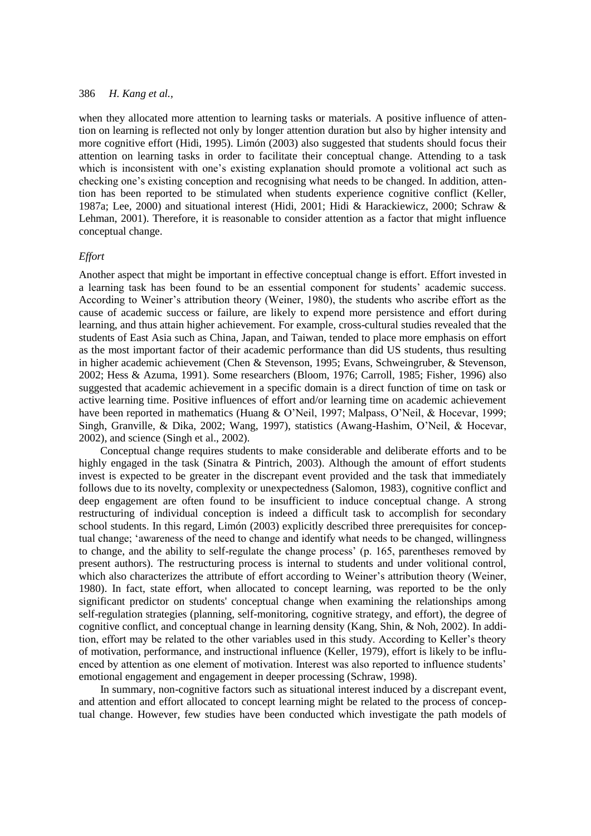when they allocated more attention to learning tasks or materials. A positive influence of attention on learning is reflected not only by longer attention duration but also by higher intensity and more cognitive effort (Hidi, 1995). Limón (2003) also suggested that students should focus their attention on learning tasks in order to facilitate their conceptual change. Attending to a task which is inconsistent with one's existing explanation should promote a volitional act such as checking one's existing conception and recognising what needs to be changed. In addition, attention has been reported to be stimulated when students experience cognitive conflict (Keller, 1987a; Lee, 2000) and situational interest (Hidi, 2001; Hidi & Harackiewicz, 2000; Schraw & Lehman, 2001). Therefore, it is reasonable to consider attention as a factor that might influence conceptual change.

#### *Effort*

Another aspect that might be important in effective conceptual change is effort. Effort invested in a learning task has been found to be an essential component for students' academic success. According to Weiner's attribution theory (Weiner, 1980), the students who ascribe effort as the cause of academic success or failure, are likely to expend more persistence and effort during learning, and thus attain higher achievement. For example, cross-cultural studies revealed that the students of East Asia such as China, Japan, and Taiwan, tended to place more emphasis on effort as the most important factor of their academic performance than did US students, thus resulting in higher academic achievement (Chen & Stevenson, 1995; Evans, Schweingruber, & Stevenson, 2002; Hess & Azuma, 1991). Some researchers (Bloom, 1976; Carroll, 1985; Fisher, 1996) also suggested that academic achievement in a specific domain is a direct function of time on task or active learning time. Positive influences of effort and/or learning time on academic achievement have been reported in mathematics (Huang & O'Neil, 1997; Malpass, O'Neil, & Hocevar, 1999; Singh, Granville, & Dika, 2002; Wang, 1997), statistics (Awang-Hashim, O'Neil, & Hocevar, 2002), and science (Singh et al., 2002).

Conceptual change requires students to make considerable and deliberate efforts and to be highly engaged in the task (Sinatra & Pintrich, 2003). Although the amount of effort students invest is expected to be greater in the discrepant event provided and the task that immediately follows due to its novelty, complexity or unexpectedness (Salomon, 1983), cognitive conflict and deep engagement are often found to be insufficient to induce conceptual change. A strong restructuring of individual conception is indeed a difficult task to accomplish for secondary school students. In this regard, Limón (2003) explicitly described three prerequisites for conceptual change; 'awareness of the need to change and identify what needs to be changed, willingness to change, and the ability to self-regulate the change process' (p. 165, parentheses removed by present authors). The restructuring process is internal to students and under volitional control, which also characterizes the attribute of effort according to Weiner's attribution theory (Weiner, 1980). In fact, state effort, when allocated to concept learning, was reported to be the only significant predictor on students' conceptual change when examining the relationships among self-regulation strategies (planning, self-monitoring, cognitive strategy, and effort), the degree of cognitive conflict, and conceptual change in learning density (Kang, Shin, & Noh, 2002). In addition, effort may be related to the other variables used in this study. According to Keller's theory of motivation, performance, and instructional influence (Keller, 1979), effort is likely to be influenced by attention as one element of motivation. Interest was also reported to influence students' emotional engagement and engagement in deeper processing (Schraw, 1998).

In summary, non-cognitive factors such as situational interest induced by a discrepant event, and attention and effort allocated to concept learning might be related to the process of conceptual change. However, few studies have been conducted which investigate the path models of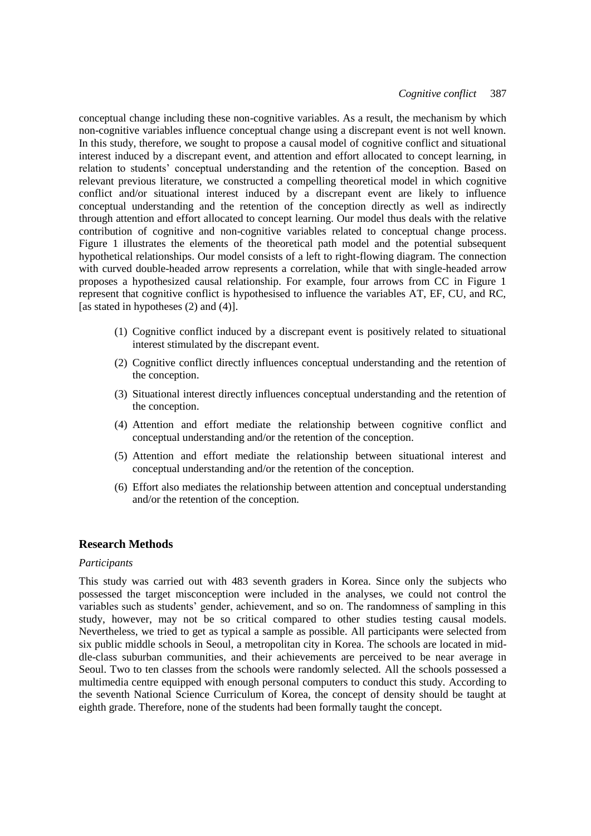conceptual change including these non-cognitive variables. As a result, the mechanism by which non-cognitive variables influence conceptual change using a discrepant event is not well known. In this study, therefore, we sought to propose a causal model of cognitive conflict and situational interest induced by a discrepant event, and attention and effort allocated to concept learning, in relation to students' conceptual understanding and the retention of the conception. Based on relevant previous literature, we constructed a compelling theoretical model in which cognitive conflict and/or situational interest induced by a discrepant event are likely to influence conceptual understanding and the retention of the conception directly as well as indirectly through attention and effort allocated to concept learning. Our model thus deals with the relative contribution of cognitive and non-cognitive variables related to conceptual change process. Figure 1 illustrates the elements of the theoretical path model and the potential subsequent hypothetical relationships. Our model consists of a left to right-flowing diagram. The connection with curved double-headed arrow represents a correlation, while that with single-headed arrow proposes a hypothesized causal relationship. For example, four arrows from CC in Figure 1 represent that cognitive conflict is hypothesised to influence the variables AT, EF, CU, and RC, [as stated in hypotheses (2) and (4)].

- (1) Cognitive conflict induced by a discrepant event is positively related to situational interest stimulated by the discrepant event.
- (2) Cognitive conflict directly influences conceptual understanding and the retention of the conception.
- (3) Situational interest directly influences conceptual understanding and the retention of the conception.
- (4) Attention and effort mediate the relationship between cognitive conflict and conceptual understanding and/or the retention of the conception.
- (5) Attention and effort mediate the relationship between situational interest and conceptual understanding and/or the retention of the conception.
- (6) Effort also mediates the relationship between attention and conceptual understanding and/or the retention of the conception.

## **Research Methods**

### *Participants*

This study was carried out with 483 seventh graders in Korea. Since only the subjects who possessed the target misconception were included in the analyses, we could not control the variables such as students' gender, achievement, and so on. The randomness of sampling in this study, however, may not be so critical compared to other studies testing causal models. Nevertheless, we tried to get as typical a sample as possible. All participants were selected from six public middle schools in Seoul, a metropolitan city in Korea. The schools are located in middle-class suburban communities, and their achievements are perceived to be near average in Seoul. Two to ten classes from the schools were randomly selected. All the schools possessed a multimedia centre equipped with enough personal computers to conduct this study. According to the seventh National Science Curriculum of Korea, the concept of density should be taught at eighth grade. Therefore, none of the students had been formally taught the concept.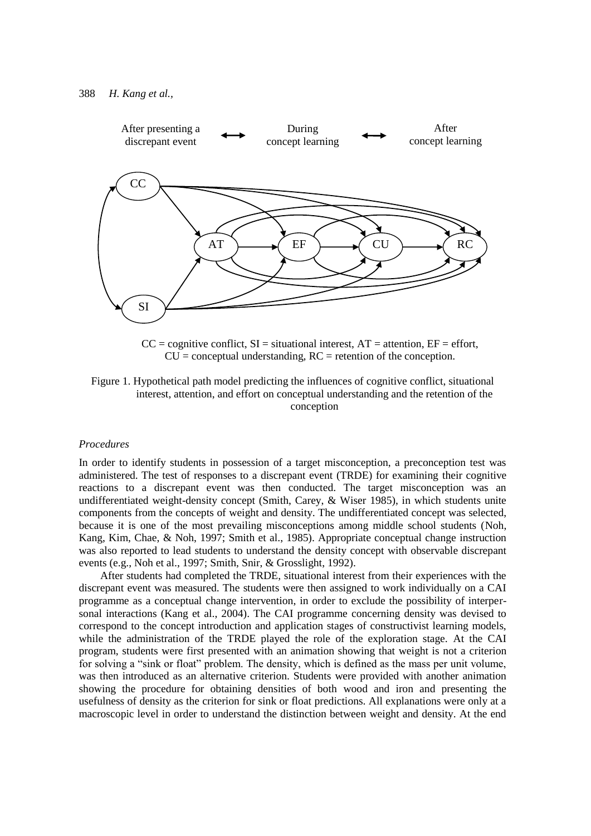

 $CC =$  cognitive conflict,  $SI =$  situational interest,  $AT =$  attention,  $EF =$  effort,  $CU =$  conceptual understanding,  $RC =$  retention of the conception.

#### *Procedures*

In order to identify students in possession of a target misconception, a preconception test was administered. The test of responses to a discrepant event (TRDE) for examining their cognitive reactions to a discrepant event was then conducted. The target misconception was an undifferentiated weight-density concept (Smith, Carey, & Wiser 1985), in which students unite components from the concepts of weight and density. The undifferentiated concept was selected, because it is one of the most prevailing misconceptions among middle school students (Noh, Kang, Kim, Chae, & Noh, 1997; Smith et al., 1985). Appropriate conceptual change instruction was also reported to lead students to understand the density concept with observable discrepant events (e.g., Noh et al., 1997; Smith, Snir, & Grosslight, 1992).

After students had completed the TRDE, situational interest from their experiences with the discrepant event was measured. The students were then assigned to work individually on a CAI programme as a conceptual change intervention, in order to exclude the possibility of interpersonal interactions (Kang et al., 2004). The CAI programme concerning density was devised to correspond to the concept introduction and application stages of constructivist learning models, while the administration of the TRDE played the role of the exploration stage. At the CAI program, students were first presented with an animation showing that weight is not a criterion for solving a "sink or float" problem. The density, which is defined as the mass per unit volume, was then introduced as an alternative criterion. Students were provided with another animation showing the procedure for obtaining densities of both wood and iron and presenting the usefulness of density as the criterion for sink or float predictions. All explanations were only at a macroscopic level in order to understand the distinction between weight and density. At the end

Figure 1. Hypothetical path model predicting the influences of cognitive conflict, situational interest, attention, and effort on conceptual understanding and the retention of the conception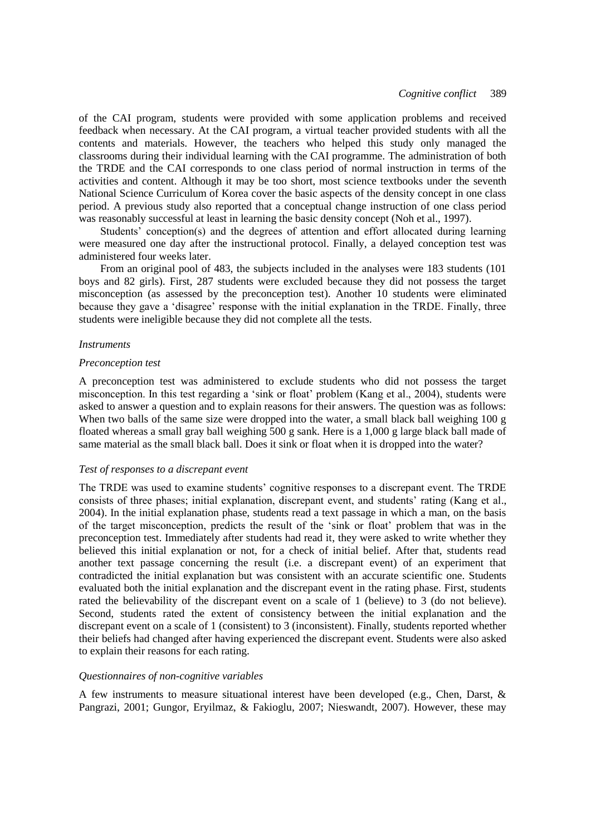of the CAI program, students were provided with some application problems and received feedback when necessary. At the CAI program, a virtual teacher provided students with all the contents and materials. However, the teachers who helped this study only managed the classrooms during their individual learning with the CAI programme. The administration of both the TRDE and the CAI corresponds to one class period of normal instruction in terms of the activities and content. Although it may be too short, most science textbooks under the seventh National Science Curriculum of Korea cover the basic aspects of the density concept in one class period. A previous study also reported that a conceptual change instruction of one class period was reasonably successful at least in learning the basic density concept (Noh et al., 1997).

Students' conception(s) and the degrees of attention and effort allocated during learning were measured one day after the instructional protocol. Finally, a delayed conception test was administered four weeks later.

From an original pool of 483, the subjects included in the analyses were 183 students (101 boys and 82 girls). First, 287 students were excluded because they did not possess the target misconception (as assessed by the preconception test). Another 10 students were eliminated because they gave a 'disagree' response with the initial explanation in the TRDE. Finally, three students were ineligible because they did not complete all the tests.

#### *Instruments*

#### *Preconception test*

A preconception test was administered to exclude students who did not possess the target misconception. In this test regarding a 'sink or float' problem (Kang et al., 2004), students were asked to answer a question and to explain reasons for their answers. The question was as follows: When two balls of the same size were dropped into the water, a small black ball weighing 100 g floated whereas a small gray ball weighing 500 g sank. Here is a 1,000 g large black ball made of same material as the small black ball. Does it sink or float when it is dropped into the water?

#### *Test of responses to a discrepant event*

The TRDE was used to examine students' cognitive responses to a discrepant event. The TRDE consists of three phases; initial explanation, discrepant event, and students' rating (Kang et al., 2004). In the initial explanation phase, students read a text passage in which a man, on the basis of the target misconception, predicts the result of the ‗sink or float' problem that was in the preconception test. Immediately after students had read it, they were asked to write whether they believed this initial explanation or not, for a check of initial belief. After that, students read another text passage concerning the result (i.e. a discrepant event) of an experiment that contradicted the initial explanation but was consistent with an accurate scientific one. Students evaluated both the initial explanation and the discrepant event in the rating phase. First, students rated the believability of the discrepant event on a scale of 1 (believe) to 3 (do not believe). Second, students rated the extent of consistency between the initial explanation and the discrepant event on a scale of 1 (consistent) to 3 (inconsistent). Finally, students reported whether their beliefs had changed after having experienced the discrepant event. Students were also asked to explain their reasons for each rating.

#### *Questionnaires of non-cognitive variables*

A few instruments to measure situational interest have been developed (e.g., Chen, Darst, & Pangrazi, 2001; Gungor, Eryilmaz, & Fakioglu, 2007; Nieswandt, 2007). However, these may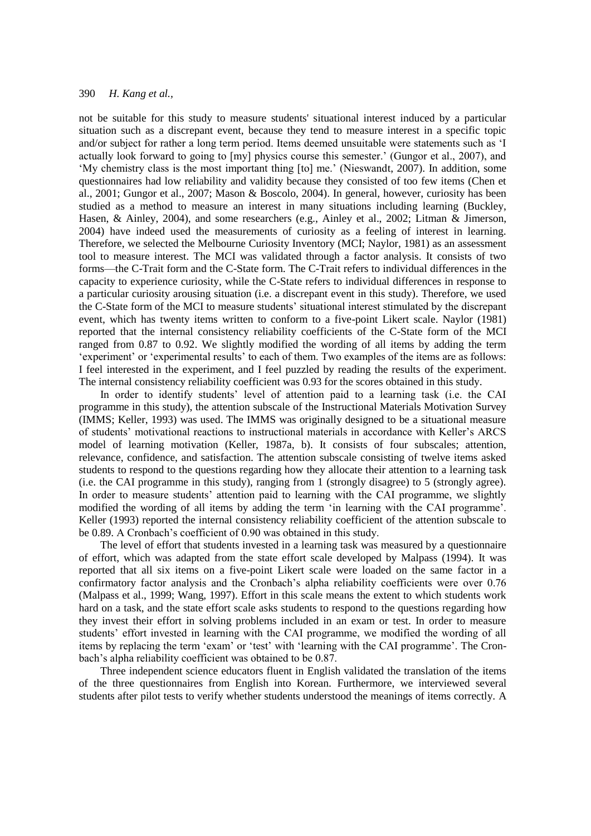not be suitable for this study to measure students' situational interest induced by a particular situation such as a discrepant event, because they tend to measure interest in a specific topic and/or subject for rather a long term period. Items deemed unsuitable were statements such as 'I actually look forward to going to [my] physics course this semester.' (Gungor et al., 2007), and ‗My chemistry class is the most important thing [to] me.' (Nieswandt, 2007). In addition, some questionnaires had low reliability and validity because they consisted of too few items (Chen et al., 2001; Gungor et al., 2007; Mason & Boscolo, 2004). In general, however, curiosity has been studied as a method to measure an interest in many situations including learning (Buckley, Hasen, & Ainley, 2004), and some researchers (e.g., Ainley et al., 2002; Litman & Jimerson, 2004) have indeed used the measurements of curiosity as a feeling of interest in learning. Therefore, we selected the Melbourne Curiosity Inventory (MCI; Naylor, 1981) as an assessment tool to measure interest. The MCI was validated through a factor analysis. It consists of two forms—the C-Trait form and the C-State form. The C-Trait refers to individual differences in the capacity to experience curiosity, while the C-State refers to individual differences in response to a particular curiosity arousing situation (i.e. a discrepant event in this study). Therefore, we used the C-State form of the MCI to measure students' situational interest stimulated by the discrepant event, which has twenty items written to conform to a five-point Likert scale. Naylor (1981) reported that the internal consistency reliability coefficients of the C-State form of the MCI ranged from 0.87 to 0.92. We slightly modified the wording of all items by adding the term 'experiment' or 'experimental results' to each of them. Two examples of the items are as follows: I feel interested in the experiment, and I feel puzzled by reading the results of the experiment. The internal consistency reliability coefficient was 0.93 for the scores obtained in this study.

In order to identify students' level of attention paid to a learning task (i.e. the CAI programme in this study), the attention subscale of the Instructional Materials Motivation Survey (IMMS; Keller, 1993) was used. The IMMS was originally designed to be a situational measure of students' motivational reactions to instructional materials in accordance with Keller's ARCS model of learning motivation (Keller, 1987a, b). It consists of four subscales; attention, relevance, confidence, and satisfaction. The attention subscale consisting of twelve items asked students to respond to the questions regarding how they allocate their attention to a learning task (i.e. the CAI programme in this study), ranging from 1 (strongly disagree) to 5 (strongly agree). In order to measure students' attention paid to learning with the CAI programme, we slightly modified the wording of all items by adding the term 'in learning with the CAI programme'. Keller (1993) reported the internal consistency reliability coefficient of the attention subscale to be 0.89. A Cronbach's coefficient of 0.90 was obtained in this study.

The level of effort that students invested in a learning task was measured by a questionnaire of effort, which was adapted from the state effort scale developed by Malpass (1994). It was reported that all six items on a five-point Likert scale were loaded on the same factor in a confirmatory factor analysis and the Cronbach's alpha reliability coefficients were over 0.76 (Malpass et al., 1999; Wang, 1997). Effort in this scale means the extent to which students work hard on a task, and the state effort scale asks students to respond to the questions regarding how they invest their effort in solving problems included in an exam or test. In order to measure students' effort invested in learning with the CAI programme, we modified the wording of all items by replacing the term 'exam' or 'test' with 'learning with the CAI programme'. The Cronbach's alpha reliability coefficient was obtained to be 0.87.

Three independent science educators fluent in English validated the translation of the items of the three questionnaires from English into Korean. Furthermore, we interviewed several students after pilot tests to verify whether students understood the meanings of items correctly. A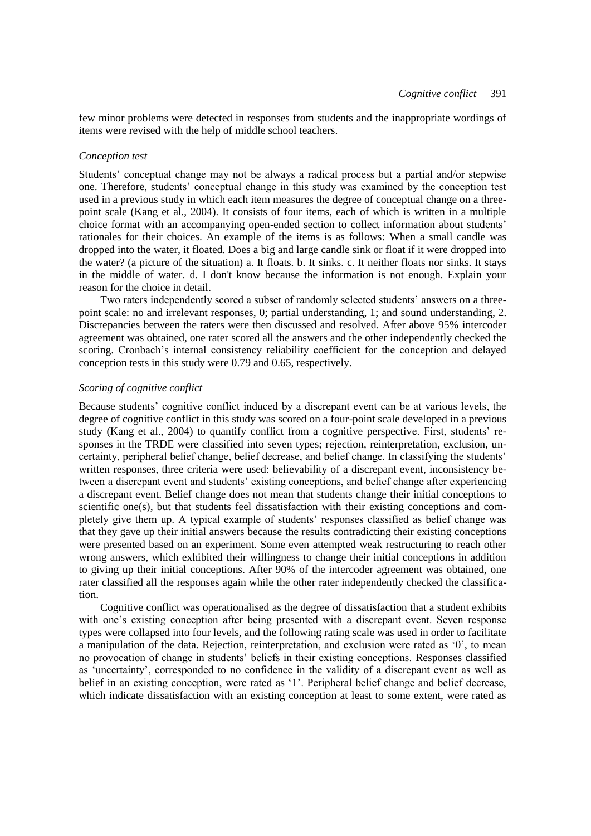few minor problems were detected in responses from students and the inappropriate wordings of items were revised with the help of middle school teachers.

#### *Conception test*

Students' conceptual change may not be always a radical process but a partial and/or stepwise one. Therefore, students' conceptual change in this study was examined by the conception test used in a previous study in which each item measures the degree of conceptual change on a threepoint scale (Kang et al., 2004). It consists of four items, each of which is written in a multiple choice format with an accompanying open-ended section to collect information about students' rationales for their choices. An example of the items is as follows: When a small candle was dropped into the water, it floated. Does a big and large candle sink or float if it were dropped into the water? (a picture of the situation) a. It floats. b. It sinks. c. It neither floats nor sinks. It stays in the middle of water. d. I don't know because the information is not enough. Explain your reason for the choice in detail.

Two raters independently scored a subset of randomly selected students' answers on a threepoint scale: no and irrelevant responses, 0; partial understanding, 1; and sound understanding, 2. Discrepancies between the raters were then discussed and resolved. After above 95% intercoder agreement was obtained, one rater scored all the answers and the other independently checked the scoring. Cronbach's internal consistency reliability coefficient for the conception and delayed conception tests in this study were 0.79 and 0.65, respectively.

## *Scoring of cognitive conflict*

Because students' cognitive conflict induced by a discrepant event can be at various levels, the degree of cognitive conflict in this study was scored on a four-point scale developed in a previous study (Kang et al., 2004) to quantify conflict from a cognitive perspective. First, students' responses in the TRDE were classified into seven types; rejection, reinterpretation, exclusion, uncertainty, peripheral belief change, belief decrease, and belief change. In classifying the students' written responses, three criteria were used: believability of a discrepant event, inconsistency between a discrepant event and students' existing conceptions, and belief change after experiencing a discrepant event. Belief change does not mean that students change their initial conceptions to scientific one(s), but that students feel dissatisfaction with their existing conceptions and completely give them up. A typical example of students' responses classified as belief change was that they gave up their initial answers because the results contradicting their existing conceptions were presented based on an experiment. Some even attempted weak restructuring to reach other wrong answers, which exhibited their willingness to change their initial conceptions in addition to giving up their initial conceptions. After 90% of the intercoder agreement was obtained, one rater classified all the responses again while the other rater independently checked the classification.

Cognitive conflict was operationalised as the degree of dissatisfaction that a student exhibits with one's existing conception after being presented with a discrepant event. Seven response types were collapsed into four levels, and the following rating scale was used in order to facilitate a manipulation of the data. Rejection, reinterpretation, and exclusion were rated as '0', to mean no provocation of change in students' beliefs in their existing conceptions. Responses classified as ‗uncertainty', corresponded to no confidence in the validity of a discrepant event as well as belief in an existing conception, were rated as '1'. Peripheral belief change and belief decrease, which indicate dissatisfaction with an existing conception at least to some extent, were rated as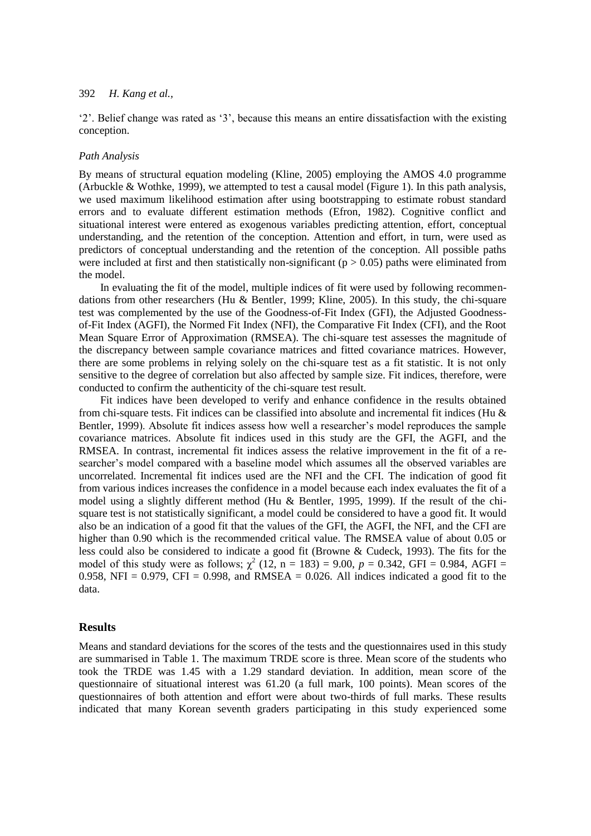‗2'. Belief change was rated as ‗3', because this means an entire dissatisfaction with the existing conception.

#### *Path Analysis*

By means of structural equation modeling (Kline, 2005) employing the AMOS 4.0 programme (Arbuckle & Wothke, 1999), we attempted to test a causal model (Figure 1). In this path analysis, we used maximum likelihood estimation after using bootstrapping to estimate robust standard errors and to evaluate different estimation methods (Efron, 1982). Cognitive conflict and situational interest were entered as exogenous variables predicting attention, effort, conceptual understanding, and the retention of the conception. Attention and effort, in turn, were used as predictors of conceptual understanding and the retention of the conception. All possible paths were included at first and then statistically non-significant ( $p > 0.05$ ) paths were eliminated from the model.

In evaluating the fit of the model, multiple indices of fit were used by following recommendations from other researchers (Hu & Bentler, 1999; Kline, 2005). In this study, the chi-square test was complemented by the use of the Goodness-of-Fit Index (GFI), the Adjusted Goodnessof-Fit Index (AGFI), the Normed Fit Index (NFI), the Comparative Fit Index (CFI), and the Root Mean Square Error of Approximation (RMSEA). The chi-square test assesses the magnitude of the discrepancy between sample covariance matrices and fitted covariance matrices. However, there are some problems in relying solely on the chi-square test as a fit statistic. It is not only sensitive to the degree of correlation but also affected by sample size. Fit indices, therefore, were conducted to confirm the authenticity of the chi-square test result.

Fit indices have been developed to verify and enhance confidence in the results obtained from chi-square tests. Fit indices can be classified into absolute and incremental fit indices (Hu & Bentler, 1999). Absolute fit indices assess how well a researcher's model reproduces the sample covariance matrices. Absolute fit indices used in this study are the GFI, the AGFI, and the RMSEA. In contrast, incremental fit indices assess the relative improvement in the fit of a researcher's model compared with a baseline model which assumes all the observed variables are uncorrelated. Incremental fit indices used are the NFI and the CFI. The indication of good fit from various indices increases the confidence in a model because each index evaluates the fit of a model using a slightly different method (Hu & Bentler, 1995, 1999). If the result of the chisquare test is not statistically significant, a model could be considered to have a good fit. It would also be an indication of a good fit that the values of the GFI, the AGFI, the NFI, and the CFI are higher than 0.90 which is the recommended critical value. The RMSEA value of about 0.05 or less could also be considered to indicate a good fit (Browne & Cudeck, 1993). The fits for the model of this study were as follows;  $\chi^2$  (12, n = 183) = 9.00, p = 0.342, GFI = 0.984, AGFI = 0.958, NFI = 0.979, CFI = 0.998, and RMSEA = 0.026. All indices indicated a good fit to the data.

## **Results**

Means and standard deviations for the scores of the tests and the questionnaires used in this study are summarised in Table 1. The maximum TRDE score is three. Mean score of the students who took the TRDE was 1.45 with a 1.29 standard deviation. In addition, mean score of the questionnaire of situational interest was 61.20 (a full mark, 100 points). Mean scores of the questionnaires of both attention and effort were about two-thirds of full marks. These results indicated that many Korean seventh graders participating in this study experienced some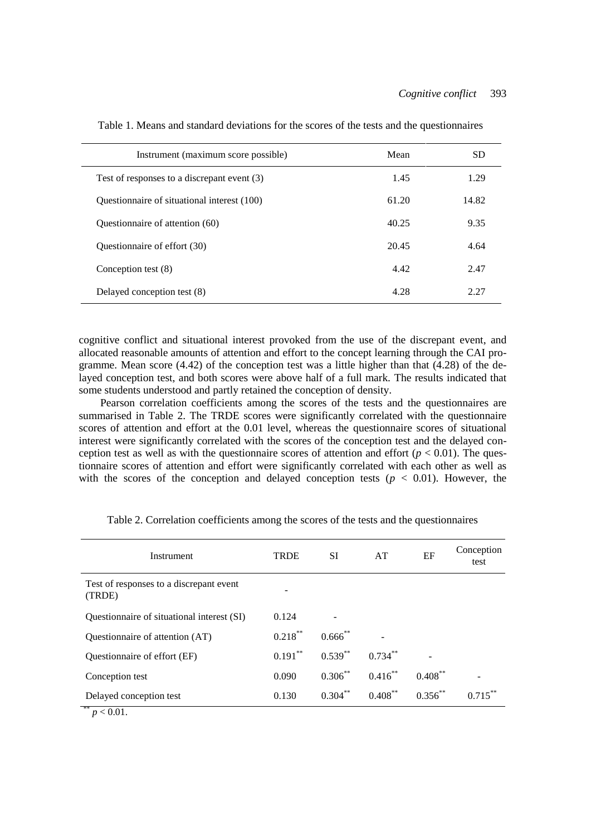| Instrument (maximum score possible)         | Mean  | SD    |
|---------------------------------------------|-------|-------|
| Test of responses to a discrepant event (3) | 1.45  | 1.29  |
| Questionnaire of situational interest (100) | 61.20 | 14.82 |
| Ouestionnaire of attention (60)             | 40.25 | 9.35  |
| Questionnaire of effort (30)                | 20.45 | 4.64  |
| Conception test (8)                         | 4.42  | 2.47  |
| Delayed conception test (8)                 | 4.28  | 2.27  |

Table 1. Means and standard deviations for the scores of the tests and the questionnaires

cognitive conflict and situational interest provoked from the use of the discrepant event, and allocated reasonable amounts of attention and effort to the concept learning through the CAI programme. Mean score (4.42) of the conception test was a little higher than that (4.28) of the delayed conception test, and both scores were above half of a full mark. The results indicated that some students understood and partly retained the conception of density.

Pearson correlation coefficients among the scores of the tests and the questionnaires are summarised in Table 2. The TRDE scores were significantly correlated with the questionnaire scores of attention and effort at the 0.01 level, whereas the questionnaire scores of situational interest were significantly correlated with the scores of the conception test and the delayed conception test as well as with the questionnaire scores of attention and effort  $(p < 0.01)$ . The questionnaire scores of attention and effort were significantly correlated with each other as well as with the scores of the conception and delayed conception tests  $(p < 0.01)$ . However, the

| Instrument                                        | TRDE                         | SI.        | AT         | EF           | Conception<br>test |
|---------------------------------------------------|------------------------------|------------|------------|--------------|--------------------|
| Test of responses to a discrepant event<br>(TRDE) | $\qquad \qquad \blacksquare$ |            |            |              |                    |
| Questionnaire of situational interest (SI)        | 0.124                        |            |            |              |                    |
| Questionnaire of attention (AT)                   | $0.218***$                   | $0.666$ ** |            |              |                    |
| Questionnaire of effort (EF)                      | $0.191***$                   | $0.539***$ | $0.734***$ |              |                    |
| Conception test                                   | 0.090                        | $0.306***$ | $0.416***$ | $0.408***$   |                    |
| Delayed conception test                           | 0.130                        | $0.304***$ | $0.408***$ | $0.356^{**}$ |                    |
| **<br>n < 0.01                                    |                              |            |            |              |                    |

Table 2. Correlation coefficients among the scores of the tests and the questionnaires

 $p < 0.01$ .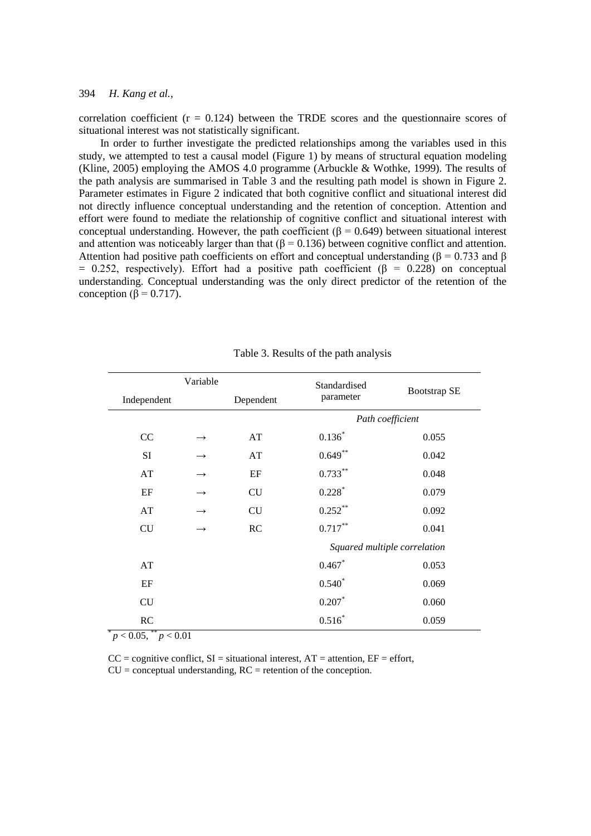correlation coefficient  $(r = 0.124)$  between the TRDE scores and the questionnaire scores of situational interest was not statistically significant.

In order to further investigate the predicted relationships among the variables used in this study, we attempted to test a causal model (Figure 1) by means of structural equation modeling (Kline, 2005) employing the AMOS 4.0 programme (Arbuckle & Wothke, 1999). The results of the path analysis are summarised in Table 3 and the resulting path model is shown in Figure 2. Parameter estimates in Figure 2 indicated that both cognitive conflict and situational interest did not directly influence conceptual understanding and the retention of conception. Attention and effort were found to mediate the relationship of cognitive conflict and situational interest with conceptual understanding. However, the path coefficient (β = 0.649) between situational interest and attention was noticeably larger than that ( $\beta$  = 0.136) between cognitive conflict and attention. Attention had positive path coefficients on effort and conceptual understanding ( $\beta = 0.733$  and  $\beta$ )  $= 0.252$ , respectively). Effort had a positive path coefficient ( $\beta = 0.228$ ) on conceptual understanding. Conceptual understanding was the only direct predictor of the retention of the conception ( $\beta$  = 0.717).

|             | Variable      |           | Standardised                 |                     |  |
|-------------|---------------|-----------|------------------------------|---------------------|--|
| Independent |               | Dependent | parameter                    | <b>Bootstrap SE</b> |  |
|             |               |           | Path coefficient             |                     |  |
| CC          |               | AT        | $0.136*$                     | 0.055               |  |
| SI          |               | AT        | $0.649**$                    | 0.042               |  |
| AT          |               | EF        | $0.733***$                   | 0.048               |  |
| EF          | $\rightarrow$ | <b>CU</b> | $0.228$ <sup>*</sup>         | 0.079               |  |
| AT          |               | CU        | $0.252***$                   | 0.092               |  |
| CU          |               | RC        | $0.717***$                   | 0.041               |  |
|             |               |           | Squared multiple correlation |                     |  |
| AT          |               |           | 0.467                        | 0.053               |  |
| EF          |               |           | $0.540*$                     | 0.069               |  |
| CU          |               |           | $0.207*$                     | 0.060               |  |
| RC          |               |           | $0.516*$                     | 0.059               |  |

Table 3. Results of the path analysis

 $p < 0.05$ ,  $\binom{**}{p} < 0.01$ 

 $CC =$  cognitive conflict,  $SI =$  situational interest,  $AT =$  attention,  $EF =$  effort,  $CU =$  conceptual understanding,  $RC =$  retention of the conception.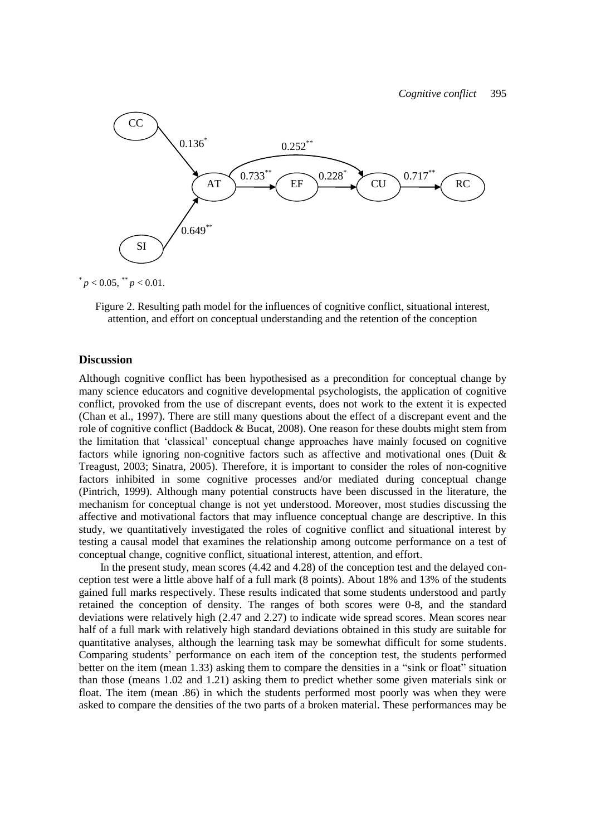

 $p < 0.05$ ,  $p < 0.01$ .

Figure 2. Resulting path model for the influences of cognitive conflict, situational interest, attention, and effort on conceptual understanding and the retention of the conception

## **Discussion**

Although cognitive conflict has been hypothesised as a precondition for conceptual change by many science educators and cognitive developmental psychologists, the application of cognitive conflict, provoked from the use of discrepant events, does not work to the extent it is expected (Chan et al., 1997). There are still many questions about the effect of a discrepant event and the role of cognitive conflict (Baddock & Bucat, 2008). One reason for these doubts might stem from the limitation that ‗classical' conceptual change approaches have mainly focused on cognitive factors while ignoring non-cognitive factors such as affective and motivational ones (Duit & Treagust, 2003; Sinatra, 2005). Therefore, it is important to consider the roles of non-cognitive factors inhibited in some cognitive processes and/or mediated during conceptual change (Pintrich, 1999). Although many potential constructs have been discussed in the literature, the mechanism for conceptual change is not yet understood. Moreover, most studies discussing the affective and motivational factors that may influence conceptual change are descriptive. In this study, we quantitatively investigated the roles of cognitive conflict and situational interest by testing a causal model that examines the relationship among outcome performance on a test of conceptual change, cognitive conflict, situational interest, attention, and effort.

In the present study, mean scores (4.42 and 4.28) of the conception test and the delayed conception test were a little above half of a full mark (8 points). About 18% and 13% of the students gained full marks respectively. These results indicated that some students understood and partly retained the conception of density. The ranges of both scores were 0-8, and the standard deviations were relatively high (2.47 and 2.27) to indicate wide spread scores. Mean scores near half of a full mark with relatively high standard deviations obtained in this study are suitable for quantitative analyses, although the learning task may be somewhat difficult for some students. Comparing students' performance on each item of the conception test, the students performed better on the item (mean 1.33) asking them to compare the densities in a "sink or float" situation than those (means 1.02 and 1.21) asking them to predict whether some given materials sink or float. The item (mean .86) in which the students performed most poorly was when they were asked to compare the densities of the two parts of a broken material. These performances may be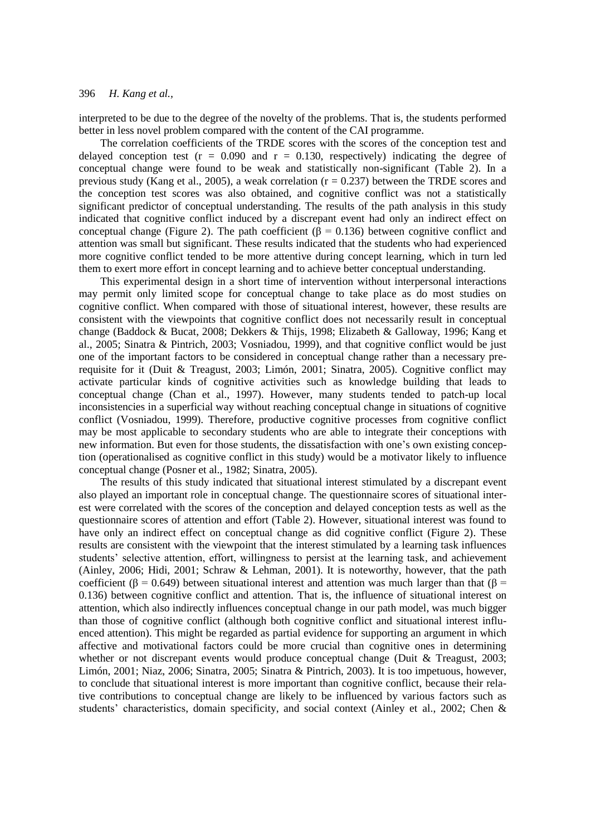interpreted to be due to the degree of the novelty of the problems. That is, the students performed better in less novel problem compared with the content of the CAI programme.

The correlation coefficients of the TRDE scores with the scores of the conception test and delayed conception test ( $r = 0.090$  and  $r = 0.130$ , respectively) indicating the degree of conceptual change were found to be weak and statistically non-significant (Table 2). In a previous study (Kang et al., 2005), a weak correlation ( $r = 0.237$ ) between the TRDE scores and the conception test scores was also obtained, and cognitive conflict was not a statistically significant predictor of conceptual understanding. The results of the path analysis in this study indicated that cognitive conflict induced by a discrepant event had only an indirect effect on conceptual change (Figure 2). The path coefficient ( $\beta$  = 0.136) between cognitive conflict and attention was small but significant. These results indicated that the students who had experienced more cognitive conflict tended to be more attentive during concept learning, which in turn led them to exert more effort in concept learning and to achieve better conceptual understanding.

This experimental design in a short time of intervention without interpersonal interactions may permit only limited scope for conceptual change to take place as do most studies on cognitive conflict. When compared with those of situational interest, however, these results are consistent with the viewpoints that cognitive conflict does not necessarily result in conceptual change (Baddock & Bucat, 2008; Dekkers & Thijs, 1998; Elizabeth & Galloway, 1996; Kang et al., 2005; Sinatra & Pintrich, 2003; Vosniadou, 1999), and that cognitive conflict would be just one of the important factors to be considered in conceptual change rather than a necessary prerequisite for it (Duit & Treagust, 2003; Limón, 2001; Sinatra, 2005). Cognitive conflict may activate particular kinds of cognitive activities such as knowledge building that leads to conceptual change (Chan et al., 1997). However, many students tended to patch-up local inconsistencies in a superficial way without reaching conceptual change in situations of cognitive conflict (Vosniadou, 1999). Therefore, productive cognitive processes from cognitive conflict may be most applicable to secondary students who are able to integrate their conceptions with new information. But even for those students, the dissatisfaction with one's own existing conception (operationalised as cognitive conflict in this study) would be a motivator likely to influence conceptual change (Posner et al., 1982; Sinatra, 2005).

The results of this study indicated that situational interest stimulated by a discrepant event also played an important role in conceptual change. The questionnaire scores of situational interest were correlated with the scores of the conception and delayed conception tests as well as the questionnaire scores of attention and effort (Table 2). However, situational interest was found to have only an indirect effect on conceptual change as did cognitive conflict (Figure 2). These results are consistent with the viewpoint that the interest stimulated by a learning task influences students' selective attention, effort, willingness to persist at the learning task, and achievement (Ainley, 2006; Hidi, 2001; Schraw & Lehman, 2001). It is noteworthy, however, that the path coefficient ( $\beta$  = 0.649) between situational interest and attention was much larger than that ( $\beta$  = 0.136) between cognitive conflict and attention. That is, the influence of situational interest on attention, which also indirectly influences conceptual change in our path model, was much bigger than those of cognitive conflict (although both cognitive conflict and situational interest influenced attention). This might be regarded as partial evidence for supporting an argument in which affective and motivational factors could be more crucial than cognitive ones in determining whether or not discrepant events would produce conceptual change (Duit & Treagust, 2003; Limón, 2001; Niaz, 2006; Sinatra, 2005; Sinatra & Pintrich, 2003). It is too impetuous, however, to conclude that situational interest is more important than cognitive conflict, because their relative contributions to conceptual change are likely to be influenced by various factors such as students' characteristics, domain specificity, and social context (Ainley et al., 2002; Chen &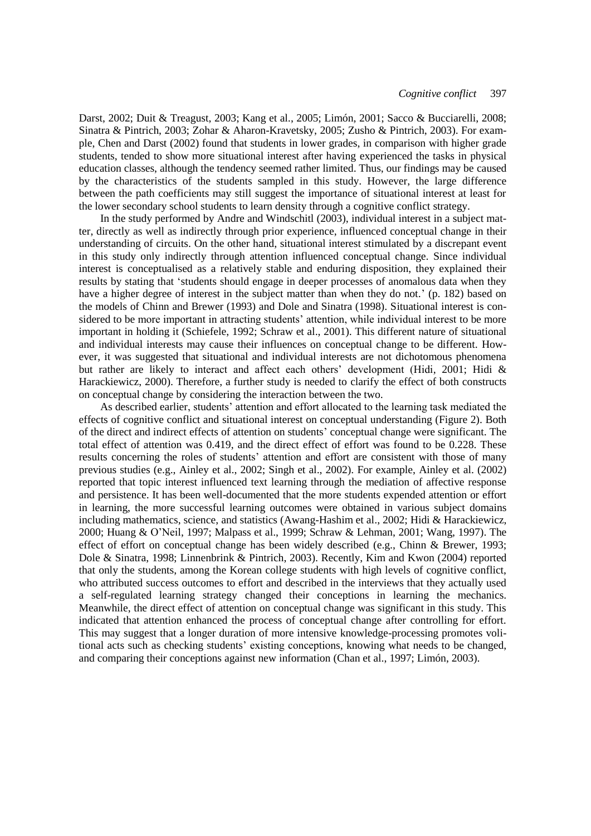Darst, 2002; Duit & Treagust, 2003; Kang et al., 2005; Limón, 2001; Sacco & Bucciarelli, 2008; Sinatra & Pintrich, 2003; Zohar & Aharon-Kravetsky, 2005; Zusho & Pintrich, 2003). For example, Chen and Darst (2002) found that students in lower grades, in comparison with higher grade students, tended to show more situational interest after having experienced the tasks in physical education classes, although the tendency seemed rather limited. Thus, our findings may be caused by the characteristics of the students sampled in this study. However, the large difference between the path coefficients may still suggest the importance of situational interest at least for the lower secondary school students to learn density through a cognitive conflict strategy.

In the study performed by Andre and Windschitl (2003), individual interest in a subject matter, directly as well as indirectly through prior experience, influenced conceptual change in their understanding of circuits. On the other hand, situational interest stimulated by a discrepant event in this study only indirectly through attention influenced conceptual change. Since individual interest is conceptualised as a relatively stable and enduring disposition, they explained their results by stating that 'students should engage in deeper processes of anomalous data when they have a higher degree of interest in the subject matter than when they do not.' (p. 182) based on the models of Chinn and Brewer (1993) and Dole and Sinatra (1998). Situational interest is considered to be more important in attracting students' attention, while individual interest to be more important in holding it (Schiefele, 1992; Schraw et al., 2001). This different nature of situational and individual interests may cause their influences on conceptual change to be different. However, it was suggested that situational and individual interests are not dichotomous phenomena but rather are likely to interact and affect each others' development (Hidi, 2001; Hidi & Harackiewicz, 2000). Therefore, a further study is needed to clarify the effect of both constructs on conceptual change by considering the interaction between the two.

As described earlier, students' attention and effort allocated to the learning task mediated the effects of cognitive conflict and situational interest on conceptual understanding (Figure 2). Both of the direct and indirect effects of attention on students' conceptual change were significant. The total effect of attention was 0.419, and the direct effect of effort was found to be 0.228. These results concerning the roles of students' attention and effort are consistent with those of many previous studies (e.g., Ainley et al., 2002; Singh et al., 2002). For example, Ainley et al. (2002) reported that topic interest influenced text learning through the mediation of affective response and persistence. It has been well-documented that the more students expended attention or effort in learning, the more successful learning outcomes were obtained in various subject domains including mathematics, science, and statistics (Awang-Hashim et al., 2002; Hidi & Harackiewicz, 2000; Huang & O'Neil, 1997; Malpass et al., 1999; Schraw & Lehman, 2001; Wang, 1997). The effect of effort on conceptual change has been widely described (e.g., Chinn & Brewer, 1993; Dole & Sinatra, 1998; Linnenbrink & Pintrich, 2003). Recently, Kim and Kwon (2004) reported that only the students, among the Korean college students with high levels of cognitive conflict, who attributed success outcomes to effort and described in the interviews that they actually used a self-regulated learning strategy changed their conceptions in learning the mechanics. Meanwhile, the direct effect of attention on conceptual change was significant in this study. This indicated that attention enhanced the process of conceptual change after controlling for effort. This may suggest that a longer duration of more intensive knowledge-processing promotes volitional acts such as checking students' existing conceptions, knowing what needs to be changed, and comparing their conceptions against new information (Chan et al., 1997; Limón, 2003).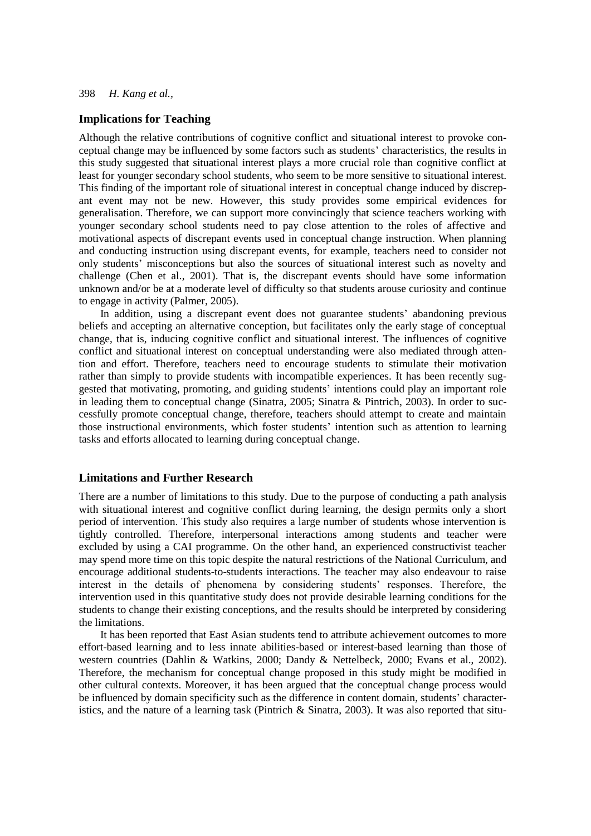## **Implications for Teaching**

Although the relative contributions of cognitive conflict and situational interest to provoke conceptual change may be influenced by some factors such as students' characteristics, the results in this study suggested that situational interest plays a more crucial role than cognitive conflict at least for younger secondary school students, who seem to be more sensitive to situational interest. This finding of the important role of situational interest in conceptual change induced by discrepant event may not be new. However, this study provides some empirical evidences for generalisation. Therefore, we can support more convincingly that science teachers working with younger secondary school students need to pay close attention to the roles of affective and motivational aspects of discrepant events used in conceptual change instruction. When planning and conducting instruction using discrepant events, for example, teachers need to consider not only students' misconceptions but also the sources of situational interest such as novelty and challenge (Chen et al., 2001). That is, the discrepant events should have some information unknown and/or be at a moderate level of difficulty so that students arouse curiosity and continue to engage in activity (Palmer, 2005).

In addition, using a discrepant event does not guarantee students' abandoning previous beliefs and accepting an alternative conception, but facilitates only the early stage of conceptual change, that is, inducing cognitive conflict and situational interest. The influences of cognitive conflict and situational interest on conceptual understanding were also mediated through attention and effort. Therefore, teachers need to encourage students to stimulate their motivation rather than simply to provide students with incompatible experiences. It has been recently suggested that motivating, promoting, and guiding students' intentions could play an important role in leading them to conceptual change (Sinatra, 2005; Sinatra & Pintrich, 2003). In order to successfully promote conceptual change, therefore, teachers should attempt to create and maintain those instructional environments, which foster students' intention such as attention to learning tasks and efforts allocated to learning during conceptual change.

## **Limitations and Further Research**

There are a number of limitations to this study. Due to the purpose of conducting a path analysis with situational interest and cognitive conflict during learning, the design permits only a short period of intervention. This study also requires a large number of students whose intervention is tightly controlled. Therefore, interpersonal interactions among students and teacher were excluded by using a CAI programme. On the other hand, an experienced constructivist teacher may spend more time on this topic despite the natural restrictions of the National Curriculum, and encourage additional students-to-students interactions. The teacher may also endeavour to raise interest in the details of phenomena by considering students' responses. Therefore, the intervention used in this quantitative study does not provide desirable learning conditions for the students to change their existing conceptions, and the results should be interpreted by considering the limitations.

It has been reported that East Asian students tend to attribute achievement outcomes to more effort-based learning and to less innate abilities-based or interest-based learning than those of western countries (Dahlin & Watkins, 2000; Dandy & Nettelbeck, 2000; Evans et al., 2002). Therefore, the mechanism for conceptual change proposed in this study might be modified in other cultural contexts. Moreover, it has been argued that the conceptual change process would be influenced by domain specificity such as the difference in content domain, students' characteristics, and the nature of a learning task (Pintrich & Sinatra, 2003). It was also reported that situ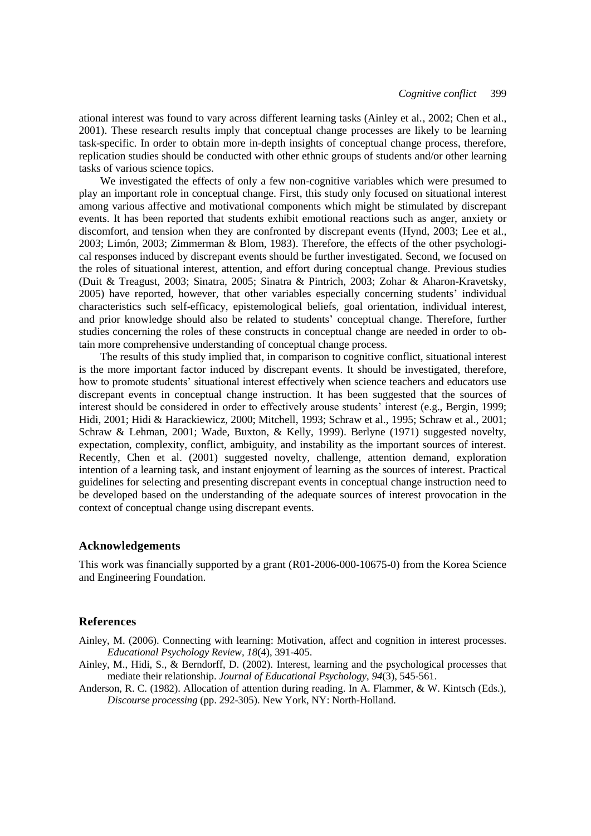ational interest was found to vary across different learning tasks (Ainley et al., 2002; Chen et al., 2001). These research results imply that conceptual change processes are likely to be learning task-specific. In order to obtain more in-depth insights of conceptual change process, therefore, replication studies should be conducted with other ethnic groups of students and/or other learning tasks of various science topics.

We investigated the effects of only a few non-cognitive variables which were presumed to play an important role in conceptual change. First, this study only focused on situational interest among various affective and motivational components which might be stimulated by discrepant events. It has been reported that students exhibit emotional reactions such as anger, anxiety or discomfort, and tension when they are confronted by discrepant events (Hynd, 2003; Lee et al., 2003; Limón, 2003; Zimmerman & Blom, 1983). Therefore, the effects of the other psychological responses induced by discrepant events should be further investigated. Second, we focused on the roles of situational interest, attention, and effort during conceptual change. Previous studies (Duit & Treagust, 2003; Sinatra, 2005; Sinatra & Pintrich, 2003; Zohar & Aharon-Kravetsky, 2005) have reported, however, that other variables especially concerning students' individual characteristics such self-efficacy, epistemological beliefs, goal orientation, individual interest, and prior knowledge should also be related to students' conceptual change. Therefore, further studies concerning the roles of these constructs in conceptual change are needed in order to obtain more comprehensive understanding of conceptual change process.

The results of this study implied that, in comparison to cognitive conflict, situational interest is the more important factor induced by discrepant events. It should be investigated, therefore, how to promote students' situational interest effectively when science teachers and educators use discrepant events in conceptual change instruction. It has been suggested that the sources of interest should be considered in order to effectively arouse students' interest (e.g., Bergin, 1999; Hidi, 2001; Hidi & Harackiewicz, 2000; Mitchell, 1993; Schraw et al., 1995; Schraw et al., 2001; Schraw & Lehman, 2001; Wade, Buxton, & Kelly, 1999). Berlyne (1971) suggested novelty, expectation, complexity, conflict, ambiguity, and instability as the important sources of interest. Recently, Chen et al. (2001) suggested novelty, challenge, attention demand, exploration intention of a learning task, and instant enjoyment of learning as the sources of interest. Practical guidelines for selecting and presenting discrepant events in conceptual change instruction need to be developed based on the understanding of the adequate sources of interest provocation in the context of conceptual change using discrepant events.

#### **Acknowledgements**

This work was financially supported by a grant (R01-2006-000-10675-0) from the Korea Science and Engineering Foundation.

#### **References**

- Ainley, M. (2006). Connecting with learning: Motivation, affect and cognition in interest processes. *Educational Psychology Review, 18*(4), 391-405.
- Ainley, M., Hidi, S., & Berndorff, D. (2002). Interest, learning and the psychological processes that mediate their relationship. *Journal of Educational Psychology*, *94*(3), 545-561.
- Anderson, R. C. (1982). Allocation of attention during reading. In A. Flammer, & W. Kintsch (Eds.), *Discourse processing* (pp. 292-305). New York, NY: North-Holland.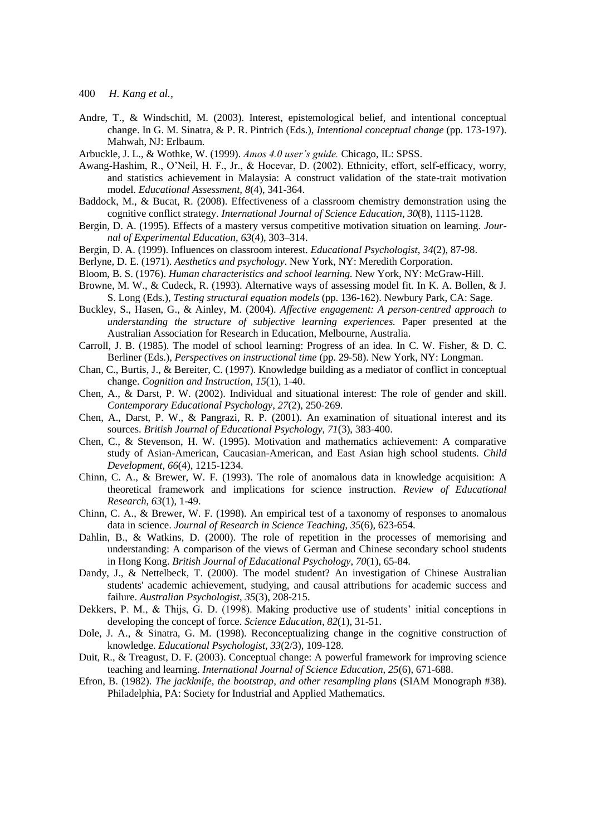- 400 *H. Kang et al.,*
- Andre, T., & Windschitl, M. (2003). Interest, epistemological belief, and intentional conceptual change. In G. M. Sinatra, & P. R. Pintrich (Eds.), *Intentional conceptual change* (pp. 173-197). Mahwah, NJ: Erlbaum.
- Arbuckle, J. L., & Wothke, W. (1999). *Amos 4.0 user's guide.* Chicago, IL: SPSS.
- Awang-Hashim, R., O'Neil, H. F., Jr., & Hocevar, D. (2002). Ethnicity, effort, self-efficacy, worry, and statistics achievement in Malaysia: A construct validation of the state-trait motivation model. *Educational Assessment, 8*(4), 341-364.
- Baddock, M., & Bucat, R. (2008). Effectiveness of a classroom chemistry demonstration using the cognitive conflict strategy. *International Journal of Science Education*, *30*(8), 1115-1128.
- Bergin, D. A. (1995). Effects of a mastery versus competitive motivation situation on learning. *Journal of Experimental Education*, *63*(4), 303–314.
- Bergin, D. A. (1999). Influences on classroom interest. *Educational Psychologist*, *34*(2), 87-98.
- Berlyne, D. E. (1971). *Aesthetics and psychology*. New York, NY: Meredith Corporation.
- Bloom, B. S. (1976). *Human characteristics and school learning.* New York, NY: McGraw-Hill.
- Browne, M. W., & Cudeck, R. (1993). Alternative ways of assessing model fit. In K. A. Bollen, & J. S. Long (Eds.), *Testing structural equation models* (pp. 136-162). Newbury Park, CA: Sage.
- Buckley, S., Hasen, G., & Ainley, M. (2004). *Affective engagement: A person-centred approach to understanding the structure of subjective learning experiences.* Paper presented at the Australian Association for Research in Education, Melbourne, Australia.
- Carroll, J. B. (1985). The model of school learning: Progress of an idea. In C. W. Fisher, & D. C. Berliner (Eds.), *Perspectives on instructional time* (pp. 29-58). New York, NY: Longman.
- Chan, C., Burtis, J., & Bereiter, C. (1997). Knowledge building as a mediator of conflict in conceptual change. *Cognition and Instruction*, *15*(1), 1-40.
- Chen, A., & Darst, P. W. (2002). Individual and situational interest: The role of gender and skill. *Contemporary Educational Psychology*, *27*(2), 250-269.
- Chen, A., Darst, P. W., & Pangrazi, R. P. (2001). An examination of situational interest and its sources. *British Journal of Educational Psychology*, *71*(3), 383-400.
- Chen, C., & Stevenson, H. W. (1995). Motivation and mathematics achievement: A comparative study of Asian-American, Caucasian-American, and East Asian high school students. *Child Development*, *66*(4), 1215-1234.
- Chinn, C. A., & Brewer, W. F. (1993). The role of anomalous data in knowledge acquisition: A theoretical framework and implications for science instruction. *Review of Educational Research*, *63*(1), 1-49.
- Chinn, C. A., & Brewer, W. F. (1998). An empirical test of a taxonomy of responses to anomalous data in science. *Journal of Research in Science Teaching*, *35*(6), 623-654.
- Dahlin, B., & Watkins, D. (2000). The role of repetition in the processes of memorising and understanding: A comparison of the views of German and Chinese secondary school students in Hong Kong. *British Journal of Educational Psychology*, *70*(1), 65-84.
- Dandy, J., & Nettelbeck, T. (2000). The model student? An investigation of Chinese Australian students' academic achievement, studying, and causal attributions for academic success and failure. *Australian Psychologist*, *35*(3), 208-215.
- Dekkers, P. M., & Thijs, G. D. (1998). Making productive use of students' initial conceptions in developing the concept of force. *Science Education*, *82*(1), 31-51.
- Dole, J. A., & Sinatra, G. M. (1998). Reconceptualizing change in the cognitive construction of knowledge. *Educational Psychologist, 33*(2/3), 109-128.
- Duit, R., & Treagust, D. F. (2003). Conceptual change: A powerful framework for improving science teaching and learning. *International Journal of Science Education*, *25*(6), 671-688.
- Efron, B. (1982). *The jackknife, the bootstrap, and other resampling plans* (SIAM Monograph #38). Philadelphia, PA: Society for Industrial and Applied Mathematics.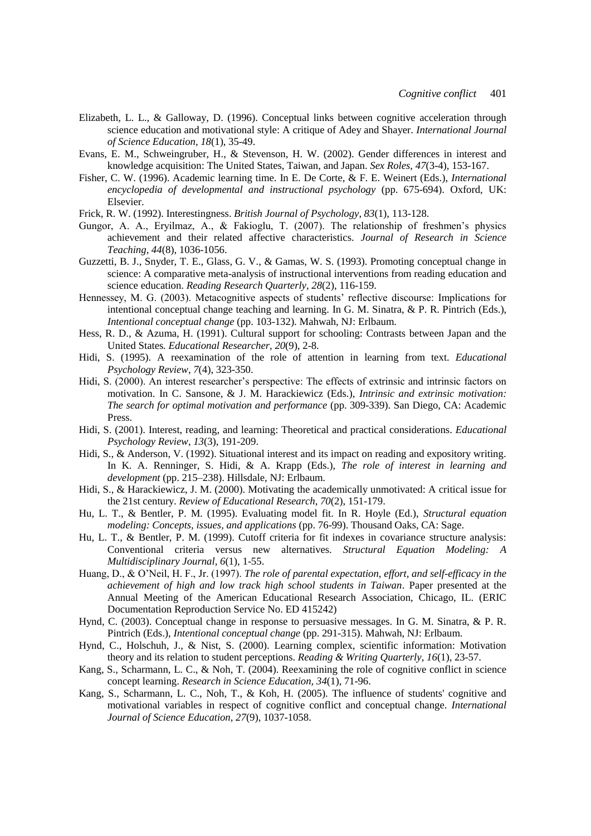- Elizabeth, L. L., & Galloway, D. (1996). Conceptual links between cognitive acceleration through science education and motivational style: A critique of Adey and Shayer. *International Journal of Science Education*, *18*(1), 35-49.
- Evans, E. M., Schweingruber, H., & Stevenson, H. W. (2002). Gender differences in interest and knowledge acquisition: The United States, Taiwan, and Japan. *Sex Roles*, *47*(3-4), 153-167.
- Fisher, C. W. (1996). Academic learning time. In E. De Corte, & F. E. Weinert (Eds.), *International encyclopedia of developmental and instructional psychology* (pp. 675-694). Oxford, UK: Elsevier.
- Frick, R. W. (1992). Interestingness. *British Journal of Psychology*, *83*(1), 113-128.
- Gungor, A. A., Eryilmaz, A., & Fakioglu, T. (2007). The relationship of freshmen's physics achievement and their related affective characteristics. *Journal of Research in Science Teaching*, *44*(8), 1036-1056.
- Guzzetti, B. J., Snyder, T. E., Glass, G. V., & Gamas, W. S. (1993). Promoting conceptual change in science: A comparative meta-analysis of instructional interventions from reading education and science education. *Reading Research Quarterly*, *28*(2), 116-159.
- Hennessey, M. G. (2003). Metacognitive aspects of students' reflective discourse: Implications for intentional conceptual change teaching and learning. In G. M. Sinatra, & P. R. Pintrich (Eds.), *Intentional conceptual change* (pp. 103-132). Mahwah, NJ: Erlbaum.
- Hess, R. D., & Azuma, H. (1991). Cultural support for schooling: Contrasts between Japan and the United States*. Educational Researcher*, *20*(9), 2-8.
- Hidi, S. (1995). A reexamination of the role of attention in learning from text. *Educational Psychology Review*, *7*(4), 323-350.
- Hidi, S. (2000). An interest researcher's perspective: The effects of extrinsic and intrinsic factors on motivation. In C. Sansone, & J. M. Harackiewicz (Eds.), *Intrinsic and extrinsic motivation: The search for optimal motivation and performance* (pp. 309-339). San Diego, CA: Academic Press.
- Hidi, S. (2001). Interest, reading, and learning: Theoretical and practical considerations. *Educational Psychology Review*, *13*(3), 191-209.
- Hidi, S., & Anderson, V. (1992). Situational interest and its impact on reading and expository writing. In K. A. Renninger, S. Hidi, & A. Krapp (Eds.), *The role of interest in learning and development* (pp. 215–238). Hillsdale, NJ: Erlbaum.
- Hidi, S., & Harackiewicz, J. M. (2000). Motivating the academically unmotivated: A critical issue for the 21st century. *Review of Educational Research*, *70*(2), 151-179.
- Hu, L. T., & Bentler, P. M. (1995). Evaluating model fit. In R. Hoyle (Ed.), *Structural equation modeling: Concepts, issues, and applications* (pp. 76-99). Thousand Oaks, CA: Sage.
- Hu, L. T., & Bentler, P. M. (1999). Cutoff criteria for fit indexes in covariance structure analysis: Conventional criteria versus new alternatives. *Structural Equation Modeling: A Multidisciplinary Journal*, *6*(1), 1-55.
- Huang, D., & O'Neil, H. F., Jr. (1997). *The role of parental expectation, effort, and self-efficacy in the achievement of high and low track high school students in Taiwan*. Paper presented at the Annual Meeting of the American Educational Research Association, Chicago, IL. (ERIC Documentation Reproduction Service No. ED 415242)
- Hynd, C. (2003). Conceptual change in response to persuasive messages. In G. M. Sinatra, & P. R. Pintrich (Eds.), *Intentional conceptual change* (pp. 291-315). Mahwah, NJ: Erlbaum.
- Hynd, C., Holschuh, J., & Nist, S. (2000). Learning complex, scientific information: Motivation theory and its relation to student perceptions. *Reading & Writing Quarterly*, *16*(1), 23-57.
- Kang, S., Scharmann, L. C., & Noh, T. (2004). Reexamining the role of cognitive conflict in science concept learning. *Research in Science Education, 34*(1), 71-96.
- Kang, S., Scharmann, L. C., Noh, T., & Koh, H. (2005). The influence of students' cognitive and motivational variables in respect of cognitive conflict and conceptual change. *International Journal of Science Education*, *27*(9), 1037-1058.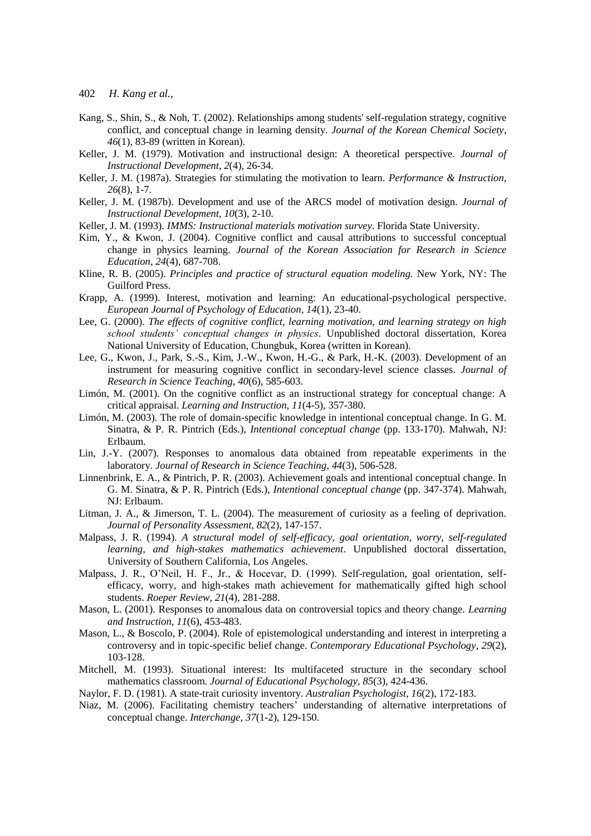- Kang, S., Shin, S., & Noh, T. (2002). Relationships among students' self-regulation strategy, cognitive conflict, and conceptual change in learning density. *Journal of the Korean Chemical Society*, *46*(1), 83-89 (written in Korean).
- Keller, J. M. (1979). Motivation and instructional design: A theoretical perspective. *Journal of Instructional Development*, *2*(4), 26-34.
- Keller, J. M. (1987a). Strategies for stimulating the motivation to learn. *Performance & Instruction, 26*(8), 1-7.
- Keller, J. M. (1987b). Development and use of the ARCS model of motivation design. *Journal of Instructional Development*, *10*(3), 2-10.
- Keller, J. M. (1993). *IMMS: Instructional materials motivation survey*. Florida State University.
- Kim, Y., & Kwon, J. (2004). Cognitive conflict and causal attributions to successful conceptual change in physics learning. *Journal of the Korean Association for Research in Science Education*, *24*(4), 687-708.
- Kline, [R. B. \(](http://openlibrary.org/a/OL402309A/Rex-B.-Kline)2005). *Principles and practice of structural equation modeling.* New York, NY: The Guilford Press.
- Krapp, A. (1999). Interest, motivation and learning: An educational-psychological perspective. *European Journal of Psychology of Education*, *14*(1), 23-40.
- Lee, G. (2000). *The effects of cognitive conflict, learning motivation, and learning strategy on high school students' conceptual changes in physics*. Unpublished doctoral dissertation, Korea National University of Education, Chungbuk, Korea (written in Korean).
- Lee, G., Kwon, J., Park, S.-S., Kim, J.-W., Kwon, H.-G., & Park, H.-K. (2003). Development of an instrument for measuring cognitive conflict in secondary-level science classes. *Journal of Research in Science Teaching*, *40*(6), 585-603.
- Limón, M. (2001). On the cognitive conflict as an instructional strategy for conceptual change: A critical appraisal. *Learning and Instruction*, *11*(4-5), 357-380.
- Limón, M. (2003). The role of domain-specific knowledge in intentional conceptual change. In G. M. Sinatra, & P. R. Pintrich (Eds.), *Intentional conceptual change* (pp. 133-170). Mahwah, NJ: Erlbaum.
- Lin, J.-Y. (2007). Responses to anomalous data obtained from repeatable experiments in the laboratory. *Journal of Research in Science Teaching*, *44*(3), 506-528.
- Linnenbrink, E. A., & Pintrich, P. R. (2003). Achievement goals and intentional conceptual change. In G. M. Sinatra, & P. R. Pintrich (Eds.), *Intentional conceptual change* (pp. 347-374). Mahwah, NJ: Erlbaum.
- Litman, J. A., & Jimerson, T. L. (2004). The measurement of curiosity as a feeling of deprivation. *Journal of Personality Assessment*, *82*(2), 147-157.
- Malpass, J. R. (1994). *A structural model of self-efficacy, goal orientation, worry, self-regulated learning, and high-stakes mathematics achievement*. Unpublished doctoral dissertation, University of Southern California, Los Angeles.
- Malpass, J. R., O'Neil, H. F., Jr., & Hocevar, D. (1999). Self-regulation, goal orientation, selfefficacy, worry, and high-stakes math achievement for mathematically gifted high school students. *Roeper Review*, *21*(4), 281-288.
- Mason, L. (2001). Responses to anomalous data on controversial topics and theory change. *Learning and Instruction*, *11*(6), 453-483.
- Mason, L., & Boscolo, P. (2004). Role of epistemological understanding and interest in interpreting a controversy and in topic-specific belief change. *Contemporary Educational Psychology*, *29*(2), 103-128.
- Mitchell, M. (1993). Situational interest: Its multifaceted structure in the secondary school mathematics classroom. *Journal of Educational Psychology*, *85*(3), 424-436.
- Naylor, F. D. (1981). A state-trait curiosity inventory. *Australian Psychologist*, *16*(2), 172-183.
- Niaz, M. (2006). Facilitating chemistry teachers' understanding of alternative interpretations of conceptual change. *Interchange, 37*(1-2), 129-150.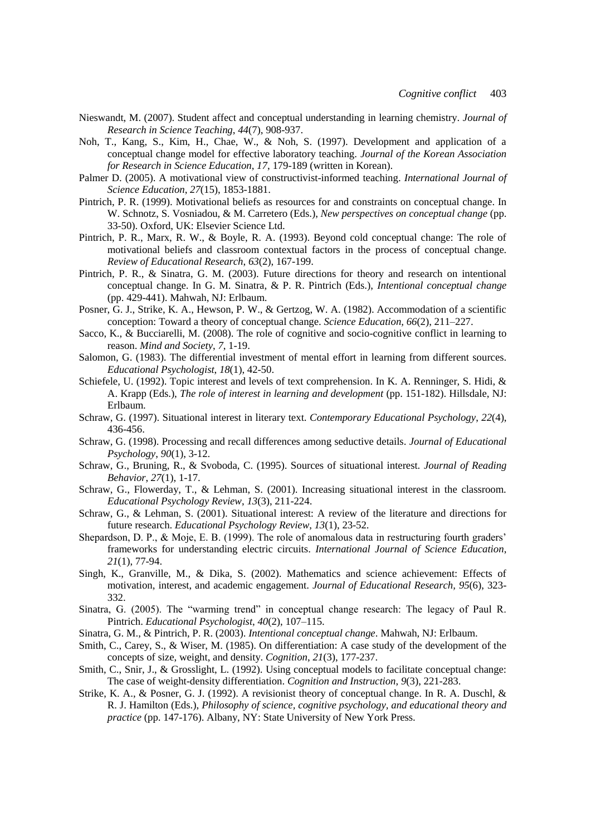- Nieswandt, M. (2007). Student affect and conceptual understanding in learning chemistry. *Journal of Research in Science Teaching*, *44*(7), 908-937.
- Noh, T., Kang, S., Kim, H., Chae, W., & Noh, S. (1997). Development and application of a conceptual change model for effective laboratory teaching. *Journal of the Korean Association for Research in Science Education*, *17*, 179-189 (written in Korean).
- Palmer D. (2005). A motivational view of constructivist-informed teaching. *International Journal of Science Education*, *27*(15), 1853-1881.
- Pintrich, P. R. (1999). Motivational beliefs as resources for and constraints on conceptual change. In W. Schnotz, S. Vosniadou, & M. Carretero (Eds.), *New perspectives on conceptual change* (pp. 33-50). Oxford, UK: Elsevier Science Ltd.
- Pintrich, P. R., Marx, R. W., & Boyle, R. A. (1993). Beyond cold conceptual change: The role of motivational beliefs and classroom contextual factors in the process of conceptual change. *Review of Educational Research*, *63*(2), 167-199.
- Pintrich, P. R., & Sinatra, G. M. (2003). Future directions for theory and research on intentional conceptual change. In G. M. Sinatra, & P. R. Pintrich (Eds.), *Intentional conceptual change* (pp. 429-441). Mahwah, NJ: Erlbaum.
- Posner, G. J., Strike, K. A., Hewson, P. W., & Gertzog, W. A. (1982). Accommodation of a scientific conception: Toward a theory of conceptual change. *Science Education, 66*(2), 211–227.
- Sacco, K., & Bucciarelli, M. (2008). The role of cognitive and socio-cognitive conflict in learning to reason. *Mind and Society*, *7*, 1-19.
- Salomon, G. (1983). The differential investment of mental effort in learning from different sources. *Educational Psychologist*, *18*(1), 42-50.
- Schiefele, U. (1992). Topic interest and levels of text comprehension. In K. A. Renninger, S. Hidi, & A. Krapp (Eds.), *The role of interest in learning and development* (pp. 151-182). Hillsdale, NJ: Erlbaum.
- Schraw, G. (1997). Situational interest in literary text. *Contemporary Educational Psychology*, *22*(4), 436-456.
- Schraw, G. (1998). Processing and recall differences among seductive details. *Journal of Educational Psychology*, *90*(1), 3-12.
- Schraw, G., Bruning, R., & Svoboda, C. (1995). Sources of situational interest. *Journal of Reading Behavior*, *27*(1), 1-17.
- Schraw, G., Flowerday, T., & Lehman, S. (2001). Increasing situational interest in the classroom. *Educational Psychology Review*, *13*(3), 211-224.
- Schraw, G., & Lehman, S. (2001). Situational interest: A review of the literature and directions for future research. *Educational Psychology Review*, *13*(1), 23-52.
- Shepardson, D. P., & Moje, E. B. (1999). The role of anomalous data in restructuring fourth graders' frameworks for understanding electric circuits. *International Journal of Science Education*, *21*(1), 77-94.
- Singh, K., Granville, M., & Dika, S. (2002). Mathematics and science achievement: Effects of motivation, interest, and academic engagement. *Journal of Educational Research, 95*(6), 323- 332.
- Sinatra, G. (2005). The "warming trend" in conceptual change research: The legacy of Paul R. Pintrich. *Educational Psychologist*, *40*(2), 107–115.
- Sinatra, G. M., & Pintrich, P. R. (2003). *Intentional conceptual change*. Mahwah, NJ: Erlbaum.
- Smith, C., Carey, S., & Wiser, M. (1985). On differentiation: A case study of the development of the concepts of size, weight, and density. *Cognition*, *21*(3), 177-237.
- Smith, C., Snir, J., & Grosslight, L. (1992). Using conceptual models to facilitate conceptual change: The case of weight-density differentiation. *Cognition and Instruction*, *9*(3), 221-283.
- Strike, K. A., & Posner, G. J. (1992). A revisionist theory of conceptual change. In R. A. Duschl, & R. J. Hamilton (Eds.), *Philosophy of science, cognitive psychology, and educational theory and practice* (pp. 147-176). Albany, NY: State University of New York Press.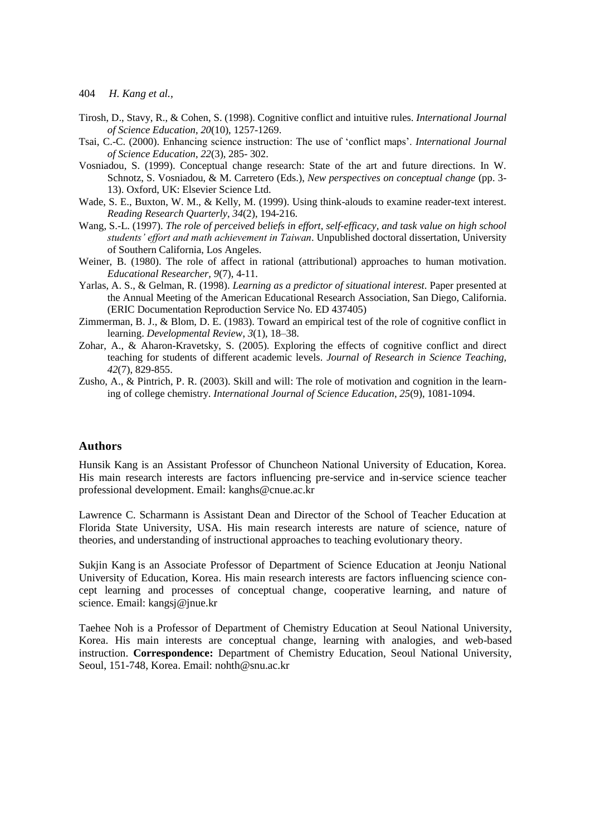- Tirosh, D., Stavy, R., & Cohen, S. (1998). Cognitive conflict and intuitive rules. *International Journal of Science Education*, *20*(10), 1257-1269.
- Tsai, C.-C. (2000). Enhancing science instruction: The use of ‗conflict maps'. *International Journal of Science Education*, *22*(3), 285- 302.
- Vosniadou, S. (1999). Conceptual change research: State of the art and future directions. In W. Schnotz, S. Vosniadou, & M. Carretero (Eds.), *New perspectives on conceptual change* (pp. 3- 13). Oxford, UK: Elsevier Science Ltd.
- Wade, S. E., Buxton, W. M., & Kelly, M. (1999). Using think-alouds to examine reader-text interest. *Reading Research Quarterly*, *34*(2), 194-216.
- Wang, S.-L. (1997). *The role of perceived beliefs in effort, self-efficacy, and task value on high school students' effort and math achievement in Taiwan*. Unpublished doctoral dissertation, University of Southern California, Los Angeles.
- Weiner, B. (1980). The role of affect in rational (attributional) approaches to human motivation. *Educational Researcher, 9*(7), 4-11.
- Yarlas, A. S., & Gelman, R. (1998). *Learning as a predictor of situational interest*. Paper presented at the Annual Meeting of the American Educational Research Association, San Diego, California. (ERIC Documentation Reproduction Service No. ED 437405)
- Zimmerman, B. J., & Blom, D. E. (1983). Toward an empirical test of the role of cognitive conflict in learning. *Developmental Review*, *3*(1), 18–38.
- Zohar, A., & Aharon-Kravetsky, S. (2005). Exploring the effects of cognitive conflict and direct teaching for students of different academic levels. *Journal of Research in Science Teaching, 42*(7), 829-855.
- Zusho, A., & Pintrich, P. R. (2003). Skill and will: The role of motivation and cognition in the learning of college chemistry. *International Journal of Science Education*, *25*(9), 1081-1094.

#### **Authors**

Hunsik Kang is an Assistant Professor of Chuncheon National University of Education, Korea. His main research interests are factors influencing pre-service and in-service science teacher professional development. Email: kanghs@cnue.ac.kr

Lawrence C. Scharmann is Assistant Dean and Director of the School of Teacher Education at Florida State University, USA. His main research interests are nature of science, nature of theories, and understanding of instructional approaches to teaching evolutionary theory.

Sukjin Kang is an Associate Professor of Department of Science Education at Jeonju National University of Education, Korea. His main research interests are factors influencing science concept learning and processes of conceptual change, cooperative learning, and nature of science. Email: kangsj@jnue.kr

Taehee Noh is a Professor of Department of Chemistry Education at Seoul National University, Korea. His main interests are conceptual change, learning with analogies, and web-based instruction. **Correspondence:** Department of Chemistry Education, Seoul National University, Seoul, 151-748, Korea. Email: nohth@snu.ac.kr